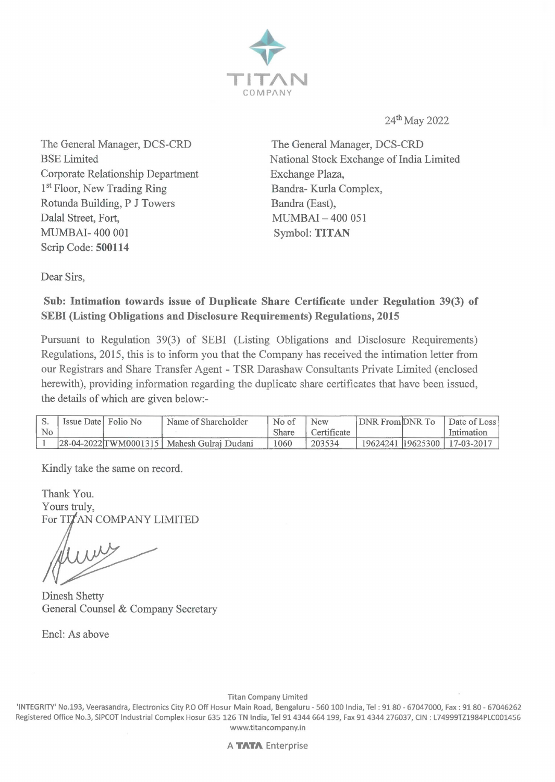

24th May 2022

The General Manager, DCS-CRD BSE Limited Corporate Relationship Department **1st** Floor, New Trading Ring Rotunda Building, P J Towers Dalal Street, Fort, MUMBAI- 400 001 Scrip Code: **500114** 

The General Manager, DCS-CRD National Stock Exchange of India Limited Exchange Plaza, Bandra- Kurla Complex, Bandra (East), MUMBAI - 400 051 Symbol: **TITAN** 

Dear Sirs,

## **Sub: Intimation towards issue of Duplicate Share Certificate under Regulation 39(3) of SEBI (Listing Obligations and Disclosure Requirements) Regulations, 2015**

Pursuant to Regulation 39(3) of SEBI (Listing Obligations and Disclosure Requirements) Regulations, 2015, this is to inform you that the Company has received the intimation letter from our Registrars and Share Transfer Agent - TSR Darashaw Consultants Private Limited ( enclosed herewith), providing information regarding the duplicate share certificates that have been issued, the details of which are given below:-

|    | Issue Date Folio No | Name of Shareholder                           | No of | New         | DNR FromDNR To | Date of Loss                   |
|----|---------------------|-----------------------------------------------|-------|-------------|----------------|--------------------------------|
| No |                     |                                               | Share | Certificate |                | Intimation                     |
|    |                     | 28-04-2022 TWM 0001315   Mahesh Gulrai Dudani | 060   | 203534      |                | 19624241 19625300   17-03-2017 |

Kindly take the same on record.

Thank You. Yours truly, For TITAN COMPANY LIMITED

Dinesh Shetty General Counsel & Company Secretary

Encl: As above

Titan Company Limited

'INTEGRITY' No.193, Veerasandra, Electronics City P.O Off Hosur Main Road, Bengaluru - 560 100 India, Tel : 9180 - 67047000, Fax: 91 80 - 67046262 Registered Office No.3, SIPCOT Industrial Complex Hosur 635 126 TN India, Tel 91 4344 664 199, Fax 91 4344 276037, CIN : L74999TZ1984PLC001456 www.titancompany.in